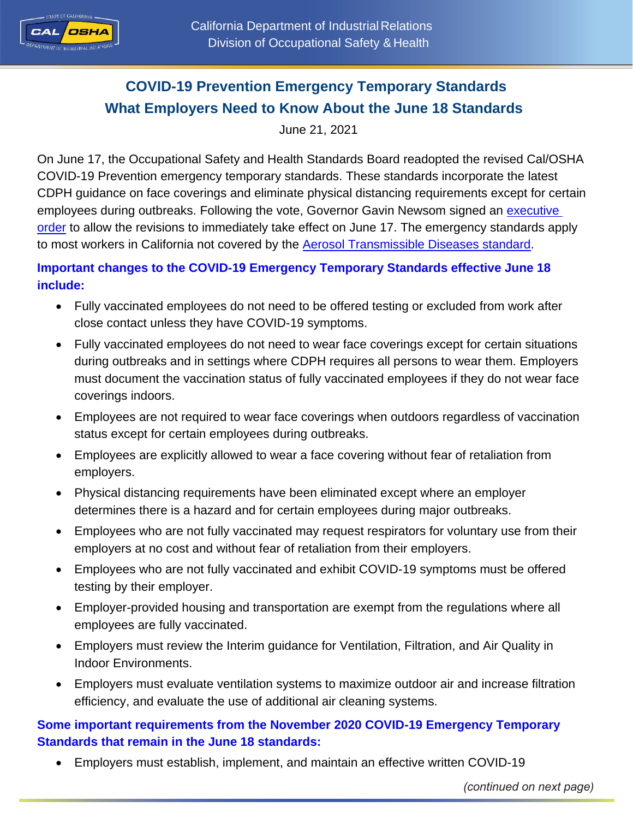

# **COVID-19 Prevention Emergency Temporary Standards What Employers Need to Know About the June 18 Standards**

June 21, 2021

On June 17, the Occupational Safety and Health Standards Board readopted the revised Cal/OSHA COVID-19 Prevention emergency temporary standards. These standards incorporate the latest CDPH guidance on face coverings and eliminate physical distancing requirements except for certain employees during outbreaks. Following the vote, Governor Gavin Newsom signed an [executive](https://www.gov.ca.gov/wp-content/uploads/2021/06/6.17.21-ETS-EO-N-09-21.pdf)  [order](https://www.gov.ca.gov/wp-content/uploads/2021/06/6.17.21-ETS-EO-N-09-21.pdf) to allow the revisions to immediately take effect on June 17. The emergency standards apply to most workers in California not covered by the Aerosol [Transmissible Diseases standard.](https://www.dir.ca.gov/title8/5199.html)

### **Important changes to the COVID-19 Emergency Temporary Standards effective June 18 include:**

- Fully vaccinated employees do not need to be offered testing or excluded from work after close contact unless they have COVID-19 symptoms.
- Fully vaccinated employees do not need to wear face coverings except for certain situations during outbreaks and in settings where CDPH requires all persons to wear them. Employers must document the vaccination status of fully vaccinated employees if they do not wear face coverings indoors.
- Employees are not required to wear face coverings when outdoors regardless of vaccination status except for certain employees during outbreaks.
- Employees are explicitly allowed to wear a face covering without fear of retaliation from employers.
- Physical distancing requirements have been eliminated except where an employer determines there is a hazard and for certain employees during major outbreaks.
- Employees who are not fully vaccinated may request respirators for voluntary use from their employers at no cost and without fear of retaliation from their employers.
- Employees who are not fully vaccinated and exhibit COVID-19 symptoms must be offered testing by their employer.
- Employer-provided housing and transportation are exempt from the regulations where all employees are fully vaccinated.
- Employers must review the Interim guidance for Ventilation, Filtration, and Air Quality in Indoor Environments.
- Employers must evaluate ventilation systems to maximize outdoor air and increase filtration efficiency, and evaluate the use of additional air cleaning systems.

## **Some important requirements from the November 2020 COVID-19 Emergency Temporary Standards that remain in the June 18 standards:**

Employers must establish, implement, and maintain an effective written COVID-19

*(continued on next page)*